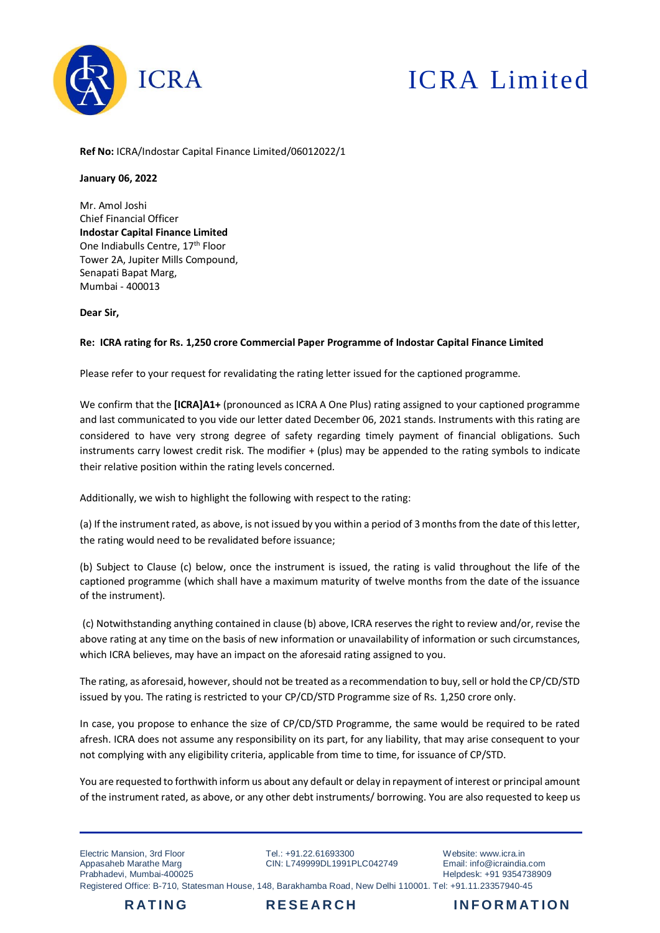

## ICRA Limited

**Ref No:** ICRA/Indostar Capital Finance Limited/06012022/1

## **January 06, 2022**

Mr. Amol Joshi Chief Financial Officer **Indostar Capital Finance Limited** One Indiabulls Centre, 17<sup>th</sup> Floor Tower 2A, Jupiter Mills Compound, Senapati Bapat Marg, Mumbai - 400013

**Dear Sir,**

## **Re: ICRA rating for Rs. 1,250 crore Commercial Paper Programme of Indostar Capital Finance Limited**

Please refer to your request for revalidating the rating letter issued for the captioned programme.

We confirm that the **[ICRA]A1+** (pronounced as ICRA A One Plus) rating assigned to your captioned programme and last communicated to you vide our letter dated December 06, 2021 stands. Instruments with this rating are considered to have very strong degree of safety regarding timely payment of financial obligations. Such instruments carry lowest credit risk. The modifier + (plus) may be appended to the rating symbols to indicate their relative position within the rating levels concerned*.*

Additionally, we wish to highlight the following with respect to the rating:

(a) If the instrument rated, as above, is not issued by you within a period of 3 months from the date of this letter, the rating would need to be revalidated before issuance;

(b) Subject to Clause (c) below, once the instrument is issued, the rating is valid throughout the life of the captioned programme (which shall have a maximum maturity of twelve months from the date of the issuance of the instrument).

(c) Notwithstanding anything contained in clause (b) above, ICRA reserves the right to review and/or, revise the above rating at any time on the basis of new information or unavailability of information or such circumstances, which ICRA believes, may have an impact on the aforesaid rating assigned to you.

The rating, as aforesaid, however, should not be treated as a recommendation to buy, sell or hold the CP/CD/STD issued by you. The rating is restricted to your CP/CD/STD Programme size of Rs. 1,250 crore only.

In case, you propose to enhance the size of CP/CD/STD Programme, the same would be required to be rated afresh. ICRA does not assume any responsibility on its part, for any liability, that may arise consequent to your not complying with any eligibility criteria, applicable from time to time, for issuance of CP/STD.

You are requested to forthwith inform us about any default or delay in repayment of interest or principal amount of the instrument rated, as above, or any other debt instruments/ borrowing. You are also requested to keep us

Electric Mansion, 3rd Floor Appasaheb Marathe Marg Prabhadevi, Mumbai-400025

Tel: +91.22.61693300 CIN: L749999DL1991PLC042749

Website: www.icra.in Email: info@icraindia.com Helpdesk: +91 9354738909 Registered Office: B-710, Statesman House, 148, Barakhamba Road, New Delhi 110001. Tel: +91.11.23357940-45